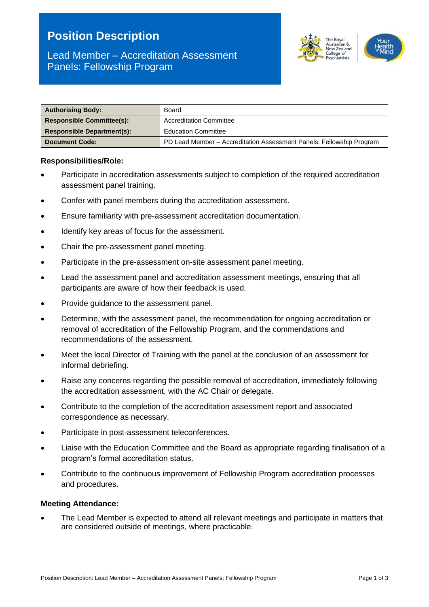# **Position Description**

# Lead Member – Accreditation Assessment Panels: Fellowship Program



| <b>Authorising Body:</b>          | Board                                                                |  |
|-----------------------------------|----------------------------------------------------------------------|--|
| <b>Responsible Committee(s):</b>  | <b>Accreditation Committee</b>                                       |  |
| <b>Responsible Department(s):</b> | <b>Education Committee</b>                                           |  |
| <b>Document Code:</b>             | PD Lead Member - Accreditation Assessment Panels: Fellowship Program |  |

#### **Responsibilities/Role:**

- Participate in accreditation assessments subject to completion of the required accreditation assessment panel training.
- Confer with panel members during the accreditation assessment.
- Ensure familiarity with pre-assessment accreditation documentation.
- Identify key areas of focus for the assessment.
- Chair the pre-assessment panel meeting.
- Participate in the pre-assessment on-site assessment panel meeting.
- Lead the assessment panel and accreditation assessment meetings, ensuring that all participants are aware of how their feedback is used.
- Provide guidance to the assessment panel.
- Determine, with the assessment panel, the recommendation for ongoing accreditation or removal of accreditation of the Fellowship Program, and the commendations and recommendations of the assessment.
- Meet the local Director of Training with the panel at the conclusion of an assessment for informal debriefing.
- Raise any concerns regarding the possible removal of accreditation, immediately following the accreditation assessment, with the AC Chair or delegate.
- Contribute to the completion of the accreditation assessment report and associated correspondence as necessary.
- Participate in post-assessment teleconferences.
- Liaise with the Education Committee and the Board as appropriate regarding finalisation of a program's formal accreditation status.
- Contribute to the continuous improvement of Fellowship Program accreditation processes and procedures.

#### **Meeting Attendance:**

• The Lead Member is expected to attend all relevant meetings and participate in matters that are considered outside of meetings, where practicable.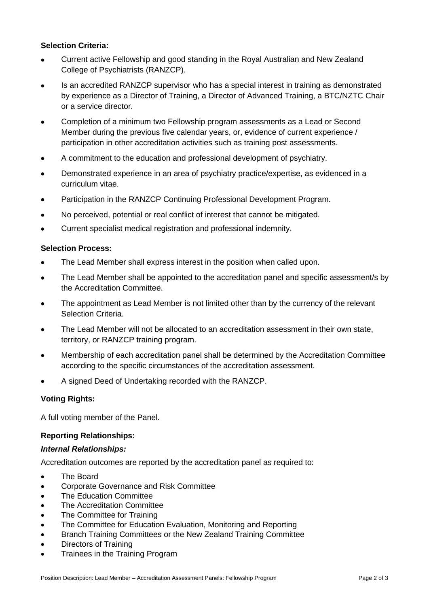# **Selection Criteria:**

- Current active Fellowship and good standing in the Royal Australian and New Zealand College of Psychiatrists (RANZCP).
- Is an accredited RANZCP supervisor who has a special interest in training as demonstrated by experience as a Director of Training, a Director of Advanced Training, a BTC/NZTC Chair or a service director.
- Completion of a minimum two Fellowship program assessments as a Lead or Second Member during the previous five calendar years, or, evidence of current experience / participation in other accreditation activities such as training post assessments.
- A commitment to the education and professional development of psychiatry.
- Demonstrated experience in an area of psychiatry practice/expertise, as evidenced in a curriculum vitae.
- Participation in the RANZCP Continuing Professional Development Program.
- No perceived, potential or real conflict of interest that cannot be mitigated.
- Current specialist medical registration and professional indemnity.

# **Selection Process:**

- The Lead Member shall express interest in the position when called upon.
- The Lead Member shall be appointed to the accreditation panel and specific assessment/s by the Accreditation Committee.
- The appointment as Lead Member is not limited other than by the currency of the relevant Selection Criteria.
- The Lead Member will not be allocated to an accreditation assessment in their own state, territory, or RANZCP training program.
- Membership of each accreditation panel shall be determined by the Accreditation Committee according to the specific circumstances of the accreditation assessment.
- A signed Deed of Undertaking recorded with the RANZCP.

# **Voting Rights:**

A full voting member of the Panel.

# **Reporting Relationships:**

# *Internal Relationships:*

Accreditation outcomes are reported by the accreditation panel as required to:

- The Board
- Corporate Governance and Risk Committee
- The Education Committee
- The Accreditation Committee
- The Committee for Training
- The Committee for Education Evaluation, Monitoring and Reporting
- Branch Training Committees or the New Zealand Training Committee
- Directors of Training
- Trainees in the Training Program